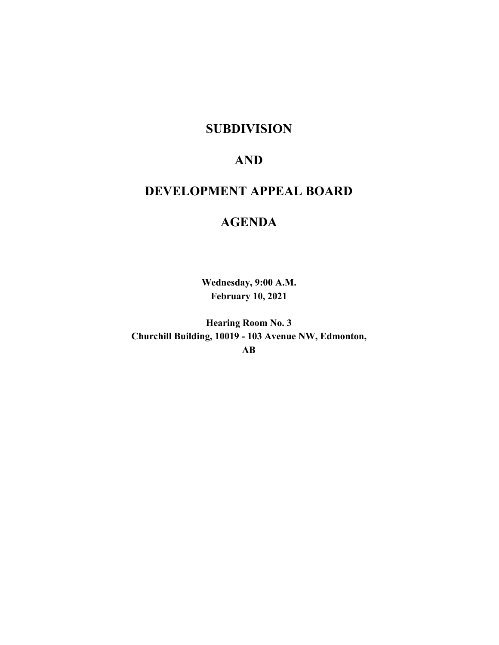## **SUBDIVISION**

# **AND**

# **DEVELOPMENT APPEAL BOARD**

# **AGENDA**

**Wednesday, 9:00 A.M. February 10, 2021**

**Hearing Room No. 3 Churchill Building, 10019 - 103 Avenue NW, Edmonton, AB**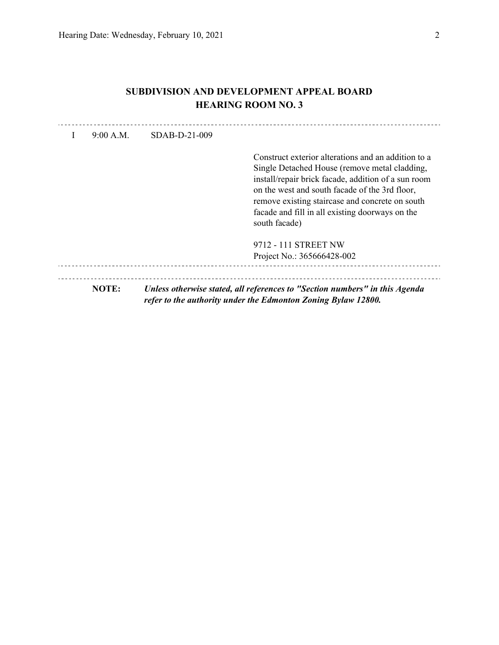## **SUBDIVISION AND DEVELOPMENT APPEAL BOARD HEARING ROOM NO. 3**

|       | Construct exterior alterations and an addition to a<br>Single Detached House (remove metal cladding,<br>install/repair brick facade, addition of a sun room<br>on the west and south facade of the 3rd floor,<br>remove existing staircase and concrete on south<br>facade and fill in all existing doorways on the<br>south facade) |
|-------|--------------------------------------------------------------------------------------------------------------------------------------------------------------------------------------------------------------------------------------------------------------------------------------------------------------------------------------|
|       | 9712 - 111 STREET NW                                                                                                                                                                                                                                                                                                                 |
|       | Project No.: 365666428-002                                                                                                                                                                                                                                                                                                           |
| NOTE: | Unless otherwise stated, all references to "Section numbers" in this Agenda<br>refer to the authority under the Edmonton Zoning Bylaw 12800.                                                                                                                                                                                         |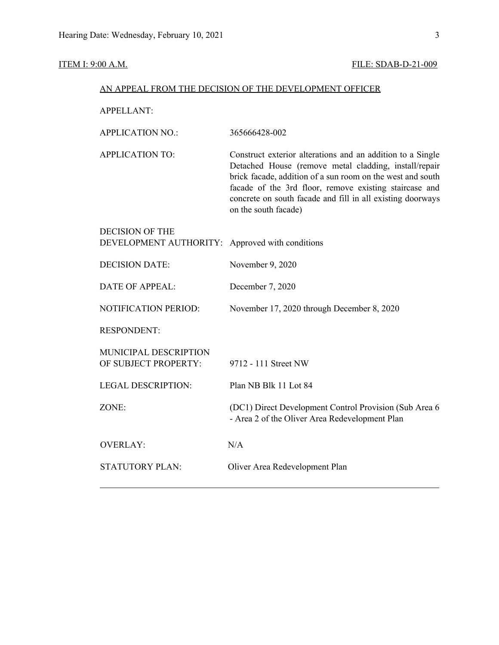## **ITEM I: 9:00 A.M. FILE: SDAB-D-21-009**

| AN APPEAL FROM THE DECISION OF THE DEVELOPMENT OFFICER |                                                                                                                                                                                                                                                                                                                                   |  |  |
|--------------------------------------------------------|-----------------------------------------------------------------------------------------------------------------------------------------------------------------------------------------------------------------------------------------------------------------------------------------------------------------------------------|--|--|
| <b>APPELLANT:</b>                                      |                                                                                                                                                                                                                                                                                                                                   |  |  |
| <b>APPLICATION NO.:</b>                                | 365666428-002                                                                                                                                                                                                                                                                                                                     |  |  |
| <b>APPLICATION TO:</b>                                 | Construct exterior alterations and an addition to a Single<br>Detached House (remove metal cladding, install/repair<br>brick facade, addition of a sun room on the west and south<br>facade of the 3rd floor, remove existing staircase and<br>concrete on south facade and fill in all existing doorways<br>on the south facade) |  |  |
| <b>DECISION OF THE</b><br>DEVELOPMENT AUTHORITY:       | Approved with conditions                                                                                                                                                                                                                                                                                                          |  |  |
| <b>DECISION DATE:</b>                                  | November 9, 2020                                                                                                                                                                                                                                                                                                                  |  |  |
| <b>DATE OF APPEAL:</b>                                 | December 7, 2020                                                                                                                                                                                                                                                                                                                  |  |  |
| NOTIFICATION PERIOD:                                   | November 17, 2020 through December 8, 2020                                                                                                                                                                                                                                                                                        |  |  |
| <b>RESPONDENT:</b>                                     |                                                                                                                                                                                                                                                                                                                                   |  |  |
| MUNICIPAL DESCRIPTION<br>OF SUBJECT PROPERTY:          | 9712 - 111 Street NW                                                                                                                                                                                                                                                                                                              |  |  |
| <b>LEGAL DESCRIPTION:</b>                              | Plan NB Blk 11 Lot 84                                                                                                                                                                                                                                                                                                             |  |  |
| ZONE:                                                  | (DC1) Direct Development Control Provision (Sub Area 6<br>- Area 2 of the Oliver Area Redevelopment Plan                                                                                                                                                                                                                          |  |  |
| <b>OVERLAY:</b>                                        | N/A                                                                                                                                                                                                                                                                                                                               |  |  |
| <b>STATUTORY PLAN:</b>                                 | Oliver Area Redevelopment Plan                                                                                                                                                                                                                                                                                                    |  |  |
|                                                        |                                                                                                                                                                                                                                                                                                                                   |  |  |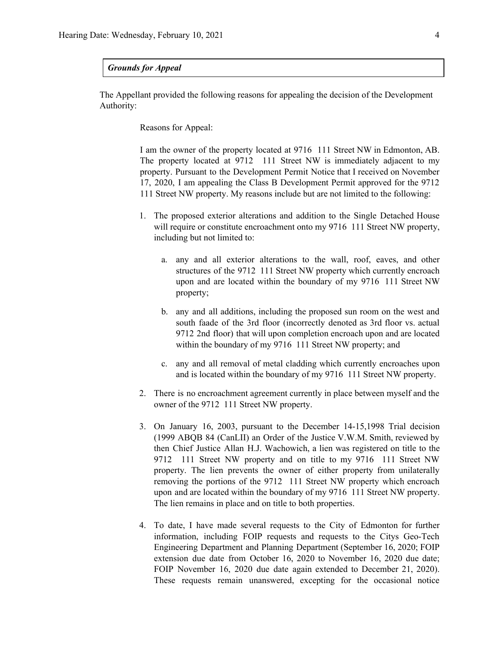#### *Grounds for Appeal*

The Appellant provided the following reasons for appealing the decision of the Development Authority:

Reasons for Appeal:

I am the owner of the property located at 9716 111 Street NW in Edmonton, AB. The property located at 9712 111 Street NW is immediately adjacent to my property. Pursuant to the Development Permit Notice that I received on November 17, 2020, I am appealing the Class B Development Permit approved for the 9712 111 Street NW property. My reasons include but are not limited to the following:

- 1. The proposed exterior alterations and addition to the Single Detached House will require or constitute encroachment onto my 9716 111 Street NW property, including but not limited to:
	- a. any and all exterior alterations to the wall, roof, eaves, and other structures of the 9712 111 Street NW property which currently encroach upon and are located within the boundary of my 9716 111 Street NW property;
	- b. any and all additions, including the proposed sun room on the west and south faade of the 3rd floor (incorrectly denoted as 3rd floor vs. actual 9712 2nd floor) that will upon completion encroach upon and are located within the boundary of my 9716 111 Street NW property; and
	- c. any and all removal of metal cladding which currently encroaches upon and is located within the boundary of my 9716 111 Street NW property.
- 2. There is no encroachment agreement currently in place between myself and the owner of the 9712 111 Street NW property.
- 3. On January 16, 2003, pursuant to the December 14-15,1998 Trial decision (1999 ABQB 84 (CanLII) an Order of the Justice V.W.M. Smith, reviewed by then Chief Justice Allan H.J. Wachowich, a lien was registered on title to the 9712 111 Street NW property and on title to my 9716 111 Street NW property. The lien prevents the owner of either property from unilaterally removing the portions of the 9712 111 Street NW property which encroach upon and are located within the boundary of my 9716 111 Street NW property. The lien remains in place and on title to both properties.
- 4. To date, I have made several requests to the City of Edmonton for further information, including FOIP requests and requests to the Citys Geo-Tech Engineering Department and Planning Department (September 16, 2020; FOIP extension due date from October 16, 2020 to November 16, 2020 due date; FOIP November 16, 2020 due date again extended to December 21, 2020). These requests remain unanswered, excepting for the occasional notice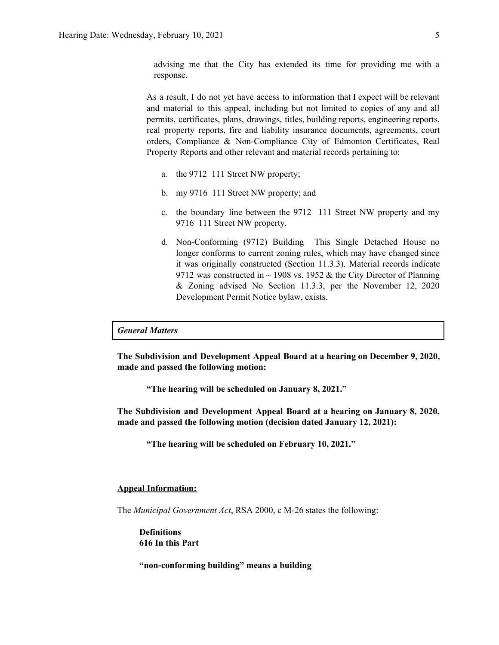advising me that the City has extended its time for providing me with a response.

As a result, I do not yet have access to information that I expect will be relevant and material to this appeal, including but not limited to copies of any and all permits, certificates, plans, drawings, titles, building reports, engineering reports, real property reports, fire and liability insurance documents, agreements, court orders, Compliance & Non-Compliance City of Edmonton Certificates, Real Property Reports and other relevant and material records pertaining to:

- a. the 9712 111 Street NW property;
- b. my 9716 111 Street NW property; and
- c. the boundary line between the 9712 111 Street NW property and my 9716 111 Street NW property.
- d. Non-Conforming (9712) Building This Single Detached House no longer conforms to current zoning rules, which may have changed since it was originally constructed (Section 11.3.3). Material records indicate 9712 was constructed in  $\sim$  1908 vs. 1952 & the City Director of Planning & Zoning advised No Section 11.3.3, per the November 12, 2020 Development Permit Notice bylaw, exists.

#### *General Matters*

**The Subdivision and Development Appeal Board at a hearing on December 9, 2020, made and passed the following motion:**

**"The hearing will be scheduled on January 8, 2021."**

**The Subdivision and Development Appeal Board at a hearing on January 8, 2020, made and passed the following motion (decision dated January 12, 2021):**

**"The hearing will be scheduled on February 10, 2021."**

#### **Appeal Information:**

The *Municipal Government Act*, RSA 2000, c M-26 states the following:

**Definitions 616 In this Part**

**"non-conforming building" means a building**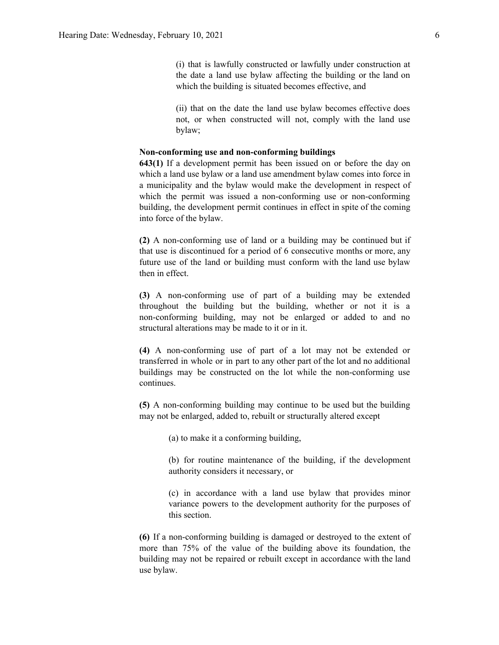(i) that is lawfully constructed or lawfully under construction at the date a land use bylaw affecting the building or the land on which the building is situated becomes effective, and

(ii) that on the date the land use bylaw becomes effective does not, or when constructed will not, comply with the land use bylaw;

#### **Non-conforming use and non-conforming buildings**

**643(1)** If a development permit has been issued on or before the day on which a land use bylaw or a land use amendment bylaw comes into force in a municipality and the bylaw would make the development in respect of which the permit was issued a non-conforming use or non-conforming building, the development permit continues in effect in spite of the coming into force of the bylaw.

**(2)** A non-conforming use of land or a building may be continued but if that use is discontinued for a period of 6 consecutive months or more, any future use of the land or building must conform with the land use bylaw then in effect.

**(3)** A non-conforming use of part of a building may be extended throughout the building but the building, whether or not it is a non-conforming building, may not be enlarged or added to and no structural alterations may be made to it or in it.

**(4)** A non-conforming use of part of a lot may not be extended or transferred in whole or in part to any other part of the lot and no additional buildings may be constructed on the lot while the non-conforming use continues.

**(5)** A non-conforming building may continue to be used but the building may not be enlarged, added to, rebuilt or structurally altered except

(a) to make it a conforming building,

(b) for routine maintenance of the building, if the development authority considers it necessary, or

(c) in accordance with a land use bylaw that provides minor variance powers to the development authority for the purposes of this section.

**(6)** If a non-conforming building is damaged or destroyed to the extent of more than 75% of the value of the building above its foundation, the building may not be repaired or rebuilt except in accordance with the land use bylaw.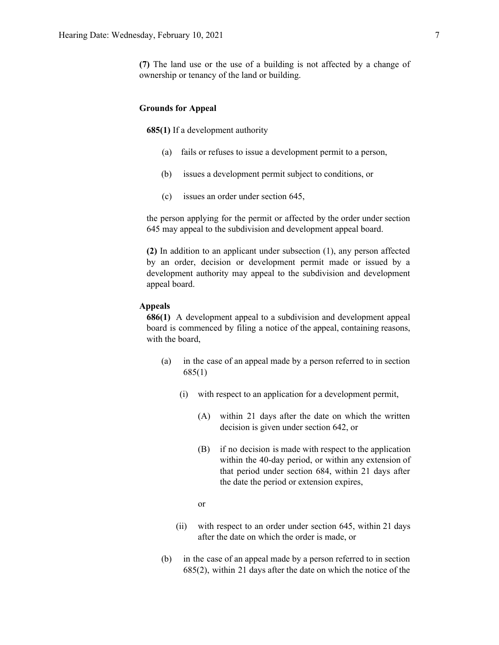#### **Grounds for Appeal**

**685(1)** If a development authority

- (a) fails or refuses to issue a development permit to a person,
- (b) issues a development permit subject to conditions, or
- (c) issues an order under section 645,

the person applying for the permit or affected by the order under section 645 may appeal to the subdivision and development appeal board.

**(2)** In addition to an applicant under subsection (1), any person affected by an order, decision or development permit made or issued by a development authority may appeal to the subdivision and development appeal board.

#### **Appeals**

**686(1)** A development appeal to a subdivision and development appeal board is commenced by filing a notice of the appeal, containing reasons, with the board,

- (a) in the case of an appeal made by a person referred to in section 685(1)
	- (i) with respect to an application for a development permit,
		- (A) within 21 days after the date on which the written decision is given under section 642, or
		- (B) if no decision is made with respect to the application within the 40-day period, or within any extension of that period under section 684, within 21 days after the date the period or extension expires,
		- or
	- (ii) with respect to an order under section 645, within 21 days after the date on which the order is made, or
- (b) in the case of an appeal made by a person referred to in section 685(2), within 21 days after the date on which the notice of the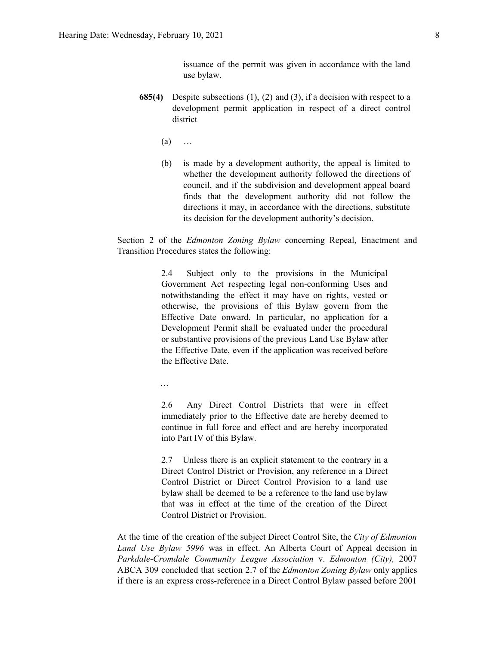issuance of the permit was given in accordance with the land use bylaw.

- **685(4)** Despite subsections (1), (2) and (3), if a decision with respect to a development permit application in respect of a direct control district
	- $(a)$  …
	- (b) is made by a development authority, the appeal is limited to whether the development authority followed the directions of council, and if the subdivision and development appeal board finds that the development authority did not follow the directions it may, in accordance with the directions, substitute its decision for the development authority's decision.

Section 2 of the *Edmonton Zoning Bylaw* concerning Repeal, Enactment and Transition Procedures states the following:

> 2.4 Subject only to the provisions in the Municipal Government Act respecting legal non-conforming Uses and notwithstanding the effect it may have on rights, vested or otherwise, the provisions of this Bylaw govern from the Effective Date onward. In particular, no application for a Development Permit shall be evaluated under the procedural or substantive provisions of the previous Land Use Bylaw after the Effective Date, even if the application was received before the Effective Date.

…

2.6 Any Direct Control Districts that were in effect immediately prior to the Effective date are hereby deemed to continue in full force and effect and are hereby incorporated into Part IV of this Bylaw.

2.7 Unless there is an explicit statement to the contrary in a Direct Control District or Provision, any reference in a Direct Control District or Direct Control Provision to a land use bylaw shall be deemed to be a reference to the land use bylaw that was in effect at the time of the creation of the Direct Control District or Provision.

At the time of the creation of the subject Direct Control Site, the *City of Edmonton Land Use Bylaw 5996* was in effect. An Alberta Court of Appeal decision in *Parkdale-Cromdale Community League Association* v. *Edmonton (City),* 2007 ABCA 309 concluded that section 2.7 of the *Edmonton Zoning Bylaw* only applies if there is an express cross-reference in a Direct Control Bylaw passed before 2001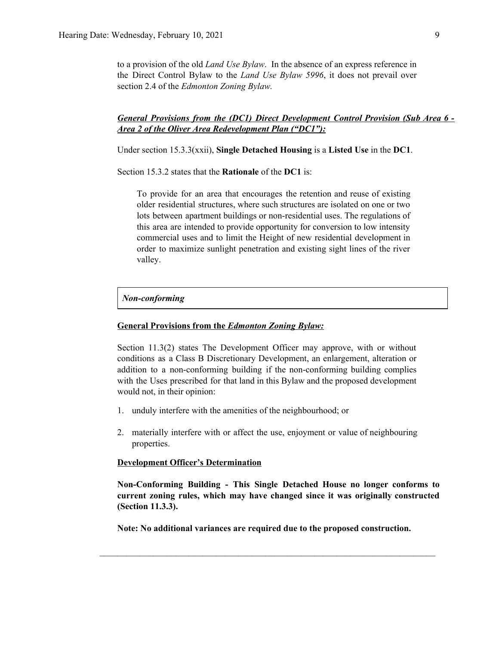to a provision of the old *Land Use Bylaw*. In the absence of an express reference in the Direct Control Bylaw to the *Land Use Bylaw 5996*, it does not prevail over section 2.4 of the *Edmonton Zoning Bylaw.*

### *General Provisions from the (DC1) Direct Development Control Provision (Sub Area 6 - Area 2 of the Oliver Area Redevelopment Plan ("DC1"):*

Under section 15.3.3(xxii), **Single Detached Housing** is a **Listed Use** in the **DC1**.

Section 15.3.2 states that the **Rationale** of the **DC1** is:

To provide for an area that encourages the retention and reuse of existing older residential structures, where such structures are isolated on one or two lots between apartment buildings or non-residential uses. The regulations of this area are intended to provide opportunity for conversion to low intensity commercial uses and to limit the Height of new residential development in order to maximize sunlight penetration and existing sight lines of the river valley.

#### *Non-conforming*

#### **General Provisions from the** *Edmonton Zoning Bylaw:*

Section 11.3(2) states The Development Officer may approve, with or without conditions as a Class B Discretionary Development, an enlargement, alteration or addition to a non-conforming building if the non-conforming building complies with the Uses prescribed for that land in this Bylaw and the proposed development would not, in their opinion:

- 1. unduly interfere with the amenities of the neighbourhood; or
- 2. materially interfere with or affect the use, enjoyment or value of neighbouring properties.

#### **Development Officer's Determination**

**Non-Conforming Building - This Single Detached House no longer conforms to current zoning rules, which may have changed since it was originally constructed (Section 11.3.3).**

**Note: No additional variances are required due to the proposed construction.**

 $\mathcal{L}_\text{max} = \frac{1}{2} \sum_{i=1}^n \mathcal{L}_\text{max} = \frac{1}{2} \sum_{i=1}^n \mathcal{L}_\text{max} = \frac{1}{2} \sum_{i=1}^n \mathcal{L}_\text{max} = \frac{1}{2} \sum_{i=1}^n \mathcal{L}_\text{max} = \frac{1}{2} \sum_{i=1}^n \mathcal{L}_\text{max} = \frac{1}{2} \sum_{i=1}^n \mathcal{L}_\text{max} = \frac{1}{2} \sum_{i=1}^n \mathcal{L}_\text{max} = \frac{1}{2} \sum_{i=$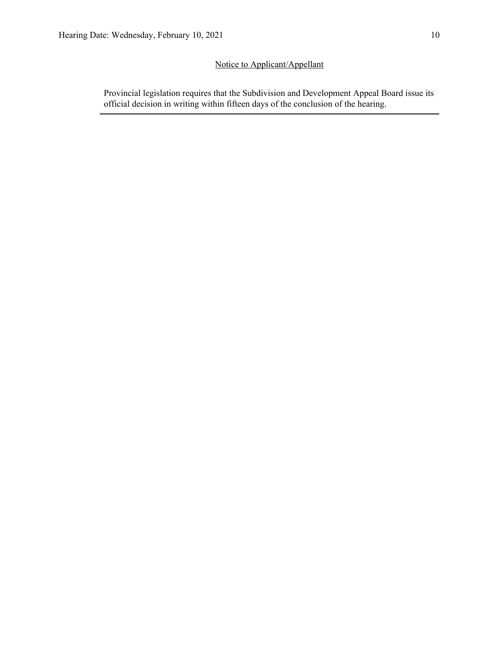## Notice to Applicant/Appellant

Provincial legislation requires that the Subdivision and Development Appeal Board issue its official decision in writing within fifteen days of the conclusion of the hearing.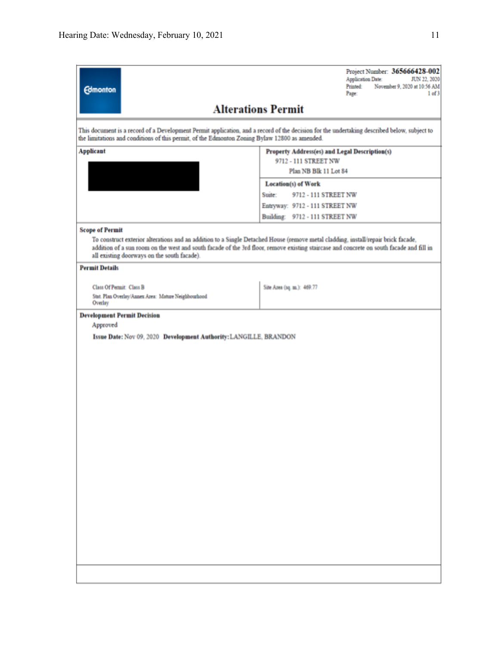| <b>Edmonton</b>                                                                                                                                                                  | Project Number: 365666428-002<br><b>Application Date:</b><br>JUN 22, 2020<br>Printed:<br>November 9, 2020 at 10:56 AM<br>Page:<br>1 of 3    |  |  |  |  |  |  |  |
|----------------------------------------------------------------------------------------------------------------------------------------------------------------------------------|---------------------------------------------------------------------------------------------------------------------------------------------|--|--|--|--|--|--|--|
| <b>Alterations Permit</b>                                                                                                                                                        |                                                                                                                                             |  |  |  |  |  |  |  |
| the limitations and conditions of this permit, of the Edmonton Zoning Bylaw 12800 as amended.                                                                                    | This document is a record of a Development Permit application, and a record of the decision for the undertaking described below, subject to |  |  |  |  |  |  |  |
| <b>Applicant</b>                                                                                                                                                                 | Property Address(es) and Legal Description(s)                                                                                               |  |  |  |  |  |  |  |
|                                                                                                                                                                                  | 9712 - 111 STREET NW<br>Plan NB Blk 11 Lot 84<br><b>Location(s) of Work</b>                                                                 |  |  |  |  |  |  |  |
|                                                                                                                                                                                  |                                                                                                                                             |  |  |  |  |  |  |  |
|                                                                                                                                                                                  | 9712 - 111 STREET NW<br>Suite:                                                                                                              |  |  |  |  |  |  |  |
|                                                                                                                                                                                  | Entryway: 9712 - 111 STREET NW                                                                                                              |  |  |  |  |  |  |  |
|                                                                                                                                                                                  | Building: 9712 - 111 STREET NW                                                                                                              |  |  |  |  |  |  |  |
| <b>Scope of Permit</b>                                                                                                                                                           |                                                                                                                                             |  |  |  |  |  |  |  |
| To construct exterior alterations and an addition to a Single Detached House (remove metal cladding, install/repair brick facade,<br>all existing doorways on the south facade). | addition of a sun room on the west and south facade of the 3rd floor, remove existing staircase and concrete on south facade and fill in    |  |  |  |  |  |  |  |
| <b>Permit Details</b>                                                                                                                                                            |                                                                                                                                             |  |  |  |  |  |  |  |
| <b>Class Of Permit: Class B</b>                                                                                                                                                  |                                                                                                                                             |  |  |  |  |  |  |  |
| Stat. Plan Overlay/Annex Area: Mature Neighbourhood<br>Overlay                                                                                                                   | Site Area (1q. m.): 469.77                                                                                                                  |  |  |  |  |  |  |  |
| <b>Development Permit Decision</b>                                                                                                                                               |                                                                                                                                             |  |  |  |  |  |  |  |
| Approved                                                                                                                                                                         |                                                                                                                                             |  |  |  |  |  |  |  |
| Issue Date: Nov 09, 2020 Development Authority: LANGILLE, BRANDON                                                                                                                |                                                                                                                                             |  |  |  |  |  |  |  |
|                                                                                                                                                                                  |                                                                                                                                             |  |  |  |  |  |  |  |
|                                                                                                                                                                                  |                                                                                                                                             |  |  |  |  |  |  |  |
|                                                                                                                                                                                  |                                                                                                                                             |  |  |  |  |  |  |  |
|                                                                                                                                                                                  |                                                                                                                                             |  |  |  |  |  |  |  |
|                                                                                                                                                                                  |                                                                                                                                             |  |  |  |  |  |  |  |
|                                                                                                                                                                                  |                                                                                                                                             |  |  |  |  |  |  |  |
|                                                                                                                                                                                  |                                                                                                                                             |  |  |  |  |  |  |  |
|                                                                                                                                                                                  |                                                                                                                                             |  |  |  |  |  |  |  |
|                                                                                                                                                                                  |                                                                                                                                             |  |  |  |  |  |  |  |
|                                                                                                                                                                                  |                                                                                                                                             |  |  |  |  |  |  |  |
|                                                                                                                                                                                  |                                                                                                                                             |  |  |  |  |  |  |  |
|                                                                                                                                                                                  |                                                                                                                                             |  |  |  |  |  |  |  |
|                                                                                                                                                                                  |                                                                                                                                             |  |  |  |  |  |  |  |
|                                                                                                                                                                                  |                                                                                                                                             |  |  |  |  |  |  |  |
|                                                                                                                                                                                  |                                                                                                                                             |  |  |  |  |  |  |  |
|                                                                                                                                                                                  |                                                                                                                                             |  |  |  |  |  |  |  |
|                                                                                                                                                                                  |                                                                                                                                             |  |  |  |  |  |  |  |
|                                                                                                                                                                                  |                                                                                                                                             |  |  |  |  |  |  |  |
|                                                                                                                                                                                  |                                                                                                                                             |  |  |  |  |  |  |  |
|                                                                                                                                                                                  |                                                                                                                                             |  |  |  |  |  |  |  |
|                                                                                                                                                                                  |                                                                                                                                             |  |  |  |  |  |  |  |
|                                                                                                                                                                                  |                                                                                                                                             |  |  |  |  |  |  |  |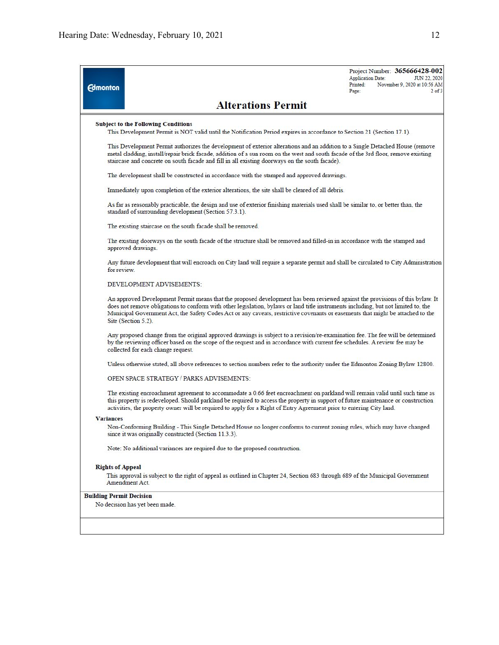| <b>Edmonton</b>                 |                                                                                                                                                                                                                                                                                                                                                                                                                               | Project Number: 365666428-002<br>JUN 22, 2020<br><b>Application Date:</b><br>Printed:<br>November 9, 2020 at 10:56 AM<br>$2$ of $3$<br>Page: |  |  |  |  |
|---------------------------------|-------------------------------------------------------------------------------------------------------------------------------------------------------------------------------------------------------------------------------------------------------------------------------------------------------------------------------------------------------------------------------------------------------------------------------|----------------------------------------------------------------------------------------------------------------------------------------------|--|--|--|--|
|                                 | <b>Alterations Permit</b>                                                                                                                                                                                                                                                                                                                                                                                                     |                                                                                                                                              |  |  |  |  |
|                                 | <b>Subject to the Following Conditions</b>                                                                                                                                                                                                                                                                                                                                                                                    |                                                                                                                                              |  |  |  |  |
|                                 | This Development Permit is NOT valid until the Notification Period expires in accordance to Section 21 (Section 17.1).                                                                                                                                                                                                                                                                                                        |                                                                                                                                              |  |  |  |  |
|                                 | This Development Permit authorizes the development of exterior alterations and an addition to a Single Detached House (remove<br>metal cladding, install/repair brick facade, addition of a sun room on the west and south facade of the 3rd floor, remove existing<br>staircase and concrete on south facade and fill in all existing doorways on the south facade).                                                         |                                                                                                                                              |  |  |  |  |
|                                 | The development shall be constructed in accordance with the stamped and approved drawings.                                                                                                                                                                                                                                                                                                                                    |                                                                                                                                              |  |  |  |  |
|                                 | Immediately upon completion of the exterior alterations, the site shall be cleared of all debris.                                                                                                                                                                                                                                                                                                                             |                                                                                                                                              |  |  |  |  |
|                                 | As far as reasonably practicable, the design and use of exterior finishing materials used shall be similar to, or better than, the<br>standard of surrounding development (Section 57.3.1).                                                                                                                                                                                                                                   |                                                                                                                                              |  |  |  |  |
|                                 | The existing staircase on the south facade shall be removed.                                                                                                                                                                                                                                                                                                                                                                  |                                                                                                                                              |  |  |  |  |
|                                 | The existing doorways on the south facade of the structure shall be removed and filled-in in accordance with the stamped and<br>approved drawings.                                                                                                                                                                                                                                                                            |                                                                                                                                              |  |  |  |  |
| for review.                     | Any future development that will encroach on City land will require a separate permit and shall be circulated to City Administration                                                                                                                                                                                                                                                                                          |                                                                                                                                              |  |  |  |  |
|                                 | DEVELOPMENT ADVISEMENTS:                                                                                                                                                                                                                                                                                                                                                                                                      |                                                                                                                                              |  |  |  |  |
|                                 | An approved Development Permit means that the proposed development has been reviewed against the provisions of this bylaw. It<br>does not remove obligations to conform with other legislation, bylaws or land title instruments including, but not limited to, the<br>Municipal Government Act, the Safety Codes Act or any caveats, restrictive covenants or easements that might be attached to the<br>Site (Section 5.2). |                                                                                                                                              |  |  |  |  |
|                                 | Any proposed change from the original approved drawings is subject to a revision/re-examination fee. The fee will be determined<br>by the reviewing officer based on the scope of the request and in accordance with current fee schedules. A review fee may be<br>collected for each change request.                                                                                                                         |                                                                                                                                              |  |  |  |  |
|                                 | Unless otherwise stated, all above references to section numbers refer to the authority under the Edmonton Zoning Bylaw 12800.                                                                                                                                                                                                                                                                                                |                                                                                                                                              |  |  |  |  |
|                                 | <b>OPEN SPACE STRATEGY / PARKS ADVISEMENTS:</b>                                                                                                                                                                                                                                                                                                                                                                               |                                                                                                                                              |  |  |  |  |
|                                 | The existing encroachment agreement to accommodate a 0.66 feet encroachment on parkland will remain valid until such time as<br>this property is redeveloped. Should parkland be required to access the property in support of future maintenance or construction<br>activities, the property owner will be required to apply for a Right of Entry Agreement prior to entering City land.                                     |                                                                                                                                              |  |  |  |  |
| <b>Variances</b>                |                                                                                                                                                                                                                                                                                                                                                                                                                               |                                                                                                                                              |  |  |  |  |
|                                 | Non-Conforming Building - This Single Detached House no longer conforms to current zoning rules, which may have changed<br>since it was originally constructed (Section 11.3.3).                                                                                                                                                                                                                                              |                                                                                                                                              |  |  |  |  |
|                                 | Note: No additional variances are required due to the proposed construction.                                                                                                                                                                                                                                                                                                                                                  |                                                                                                                                              |  |  |  |  |
| <b>Rights of Appeal</b>         |                                                                                                                                                                                                                                                                                                                                                                                                                               |                                                                                                                                              |  |  |  |  |
|                                 | This approval is subject to the right of appeal as outlined in Chapter 24, Section 683 through 689 of the Municipal Government<br>Amendment Act.                                                                                                                                                                                                                                                                              |                                                                                                                                              |  |  |  |  |
| <b>Building Permit Decision</b> | No decision has yet been made.                                                                                                                                                                                                                                                                                                                                                                                                |                                                                                                                                              |  |  |  |  |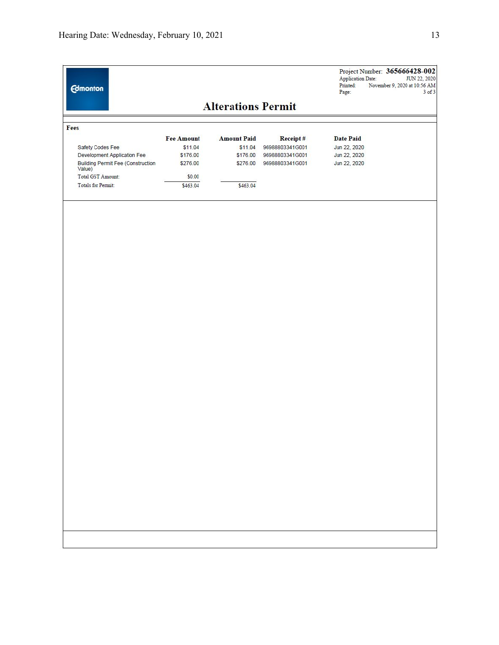|                                                    |                   |                    |                 | <b>Application Date:</b><br><b>JUN 22, 2020</b><br>Printed:<br>November 9, 2020 at 10:56 AM<br>$3$ of $3$<br>Page: |  |  |  |  |  |  |  |
|----------------------------------------------------|-------------------|--------------------|-----------------|--------------------------------------------------------------------------------------------------------------------|--|--|--|--|--|--|--|
| <b>Alterations Permit</b>                          |                   |                    |                 |                                                                                                                    |  |  |  |  |  |  |  |
| Fees                                               |                   |                    |                 |                                                                                                                    |  |  |  |  |  |  |  |
|                                                    | <b>Fee Amount</b> | <b>Amount Paid</b> | Receipt#        | <b>Date Paid</b>                                                                                                   |  |  |  |  |  |  |  |
| Safety Codes Fee                                   | \$11.04           | \$11.04            | 96988803341G001 | Jun 22, 2020                                                                                                       |  |  |  |  |  |  |  |
| Development Application Fee                        | \$176.00          | \$176.00           | 96988803341G001 | Jun 22, 2020                                                                                                       |  |  |  |  |  |  |  |
| <b>Building Permit Fee (Construction</b><br>Value) | \$276.00          | \$276.00           | 96988803341G001 | Jun 22, 2020                                                                                                       |  |  |  |  |  |  |  |
| Total GST Amount:                                  | \$0.00            |                    |                 |                                                                                                                    |  |  |  |  |  |  |  |
| <b>Totals for Permit:</b>                          | \$463.04          | \$463.04           |                 |                                                                                                                    |  |  |  |  |  |  |  |
|                                                    |                   |                    |                 |                                                                                                                    |  |  |  |  |  |  |  |